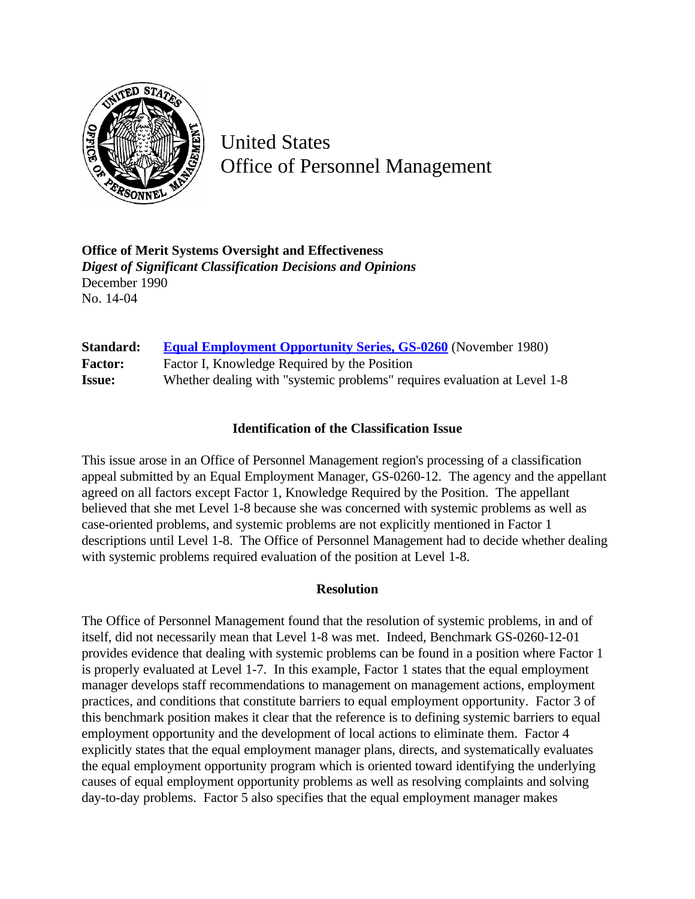

United States Office of Personnel Management

**Office of Merit Systems Oversight and Effectiveness** *Digest of Significant Classification Decisions and Opinions* December 1990 No. 14-04

| <b>Standard:</b> | <b>Equal Employment Opportunity Series, GS-0260</b> (November 1980)       |
|------------------|---------------------------------------------------------------------------|
| <b>Factor:</b>   | Factor I, Knowledge Required by the Position                              |
| <b>Issue:</b>    | Whether dealing with "systemic problems" requires evaluation at Level 1-8 |

## **Identification of the Classification Issue**

This issue arose in an Office of Personnel Management region's processing of a classification appeal submitted by an Equal Employment Manager, GS-0260-12. The agency and the appellant agreed on all factors except Factor 1, Knowledge Required by the Position. The appellant believed that she met Level 1-8 because she was concerned with systemic problems as well as case-oriented problems, and systemic problems are not explicitly mentioned in Factor 1 descriptions until Level 1-8. The Office of Personnel Management had to decide whether dealing with systemic problems required evaluation of the position at Level 1-8.

## **Resolution**

The Office of Personnel Management found that the resolution of systemic problems, in and of itself, did not necessarily mean that Level 1-8 was met. Indeed, Benchmark GS-0260-12-01 provides evidence that dealing with systemic problems can be found in a position where Factor 1 is properly evaluated at Level 1-7. In this example, Factor 1 states that the equal employment manager develops staff recommendations to management on management actions, employment practices, and conditions that constitute barriers to equal employment opportunity. Factor 3 of this benchmark position makes it clear that the reference is to defining systemic barriers to equal employment opportunity and the development of local actions to eliminate them. Factor 4 explicitly states that the equal employment manager plans, directs, and systematically evaluates the equal employment opportunity program which is oriented toward identifying the underlying causes of equal employment opportunity problems as well as resolving complaints and solving day-to-day problems. Factor 5 also specifies that the equal employment manager makes